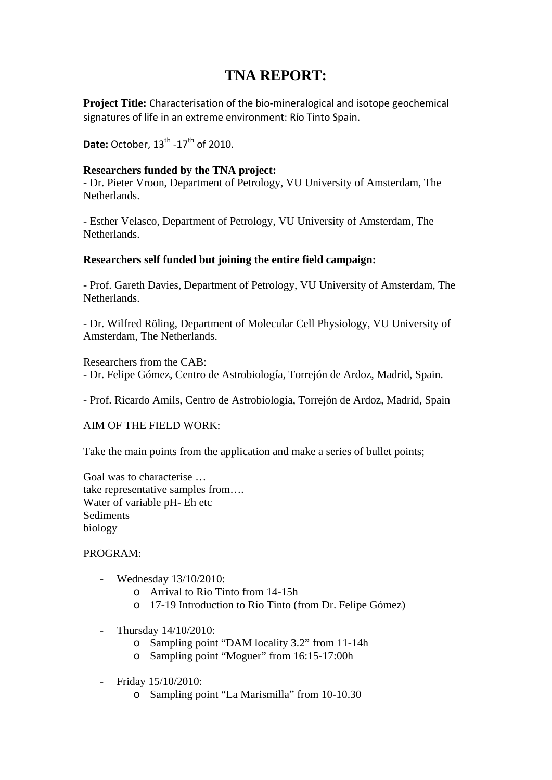# **TNA REPORT:**

**Project Title:** Characterisation of the bio-mineralogical and isotope geochemical signatures of life in an extreme environment: Río Tinto Spain.

**Date:** October, 13<sup>th</sup> -17<sup>th</sup> of 2010.

## **Researchers funded by the TNA project:**

- Dr. Pieter Vroon, Department of Petrology, VU University of Amsterdam, The Netherlands.

- Esther Velasco, Department of Petrology, VU University of Amsterdam, The Netherlands.

## **Researchers self funded but joining the entire field campaign:**

- Prof. Gareth Davies, Department of Petrology, VU University of Amsterdam, The Netherlands.

- Dr. Wilfred Röling, Department of Molecular Cell Physiology, VU University of Amsterdam, The Netherlands.

Researchers from the CAB: - Dr. Felipe Gómez, Centro de Astrobiología, Torrejón de Ardoz, Madrid, Spain.

- Prof. Ricardo Amils, Centro de Astrobiología, Torrejón de Ardoz, Madrid, Spain

AIM OF THE FIELD WORK:

Take the main points from the application and make a series of bullet points;

Goal was to characterise … take representative samples from…. Water of variable pH- Eh etc Sediments biology

# PROGRAM:

- Wednesday 13/10/2010:
	- o Arrival to Rio Tinto from 14-15h
	- o 17-19 Introduction to Rio Tinto (from Dr. Felipe Gómez)
- Thursday 14/10/2010:
	- o Sampling point "DAM locality 3.2" from 11-14h
	- o Sampling point "Moguer" from 16:15-17:00h
- Friday 15/10/2010:
	- o Sampling point "La Marismilla" from 10-10.30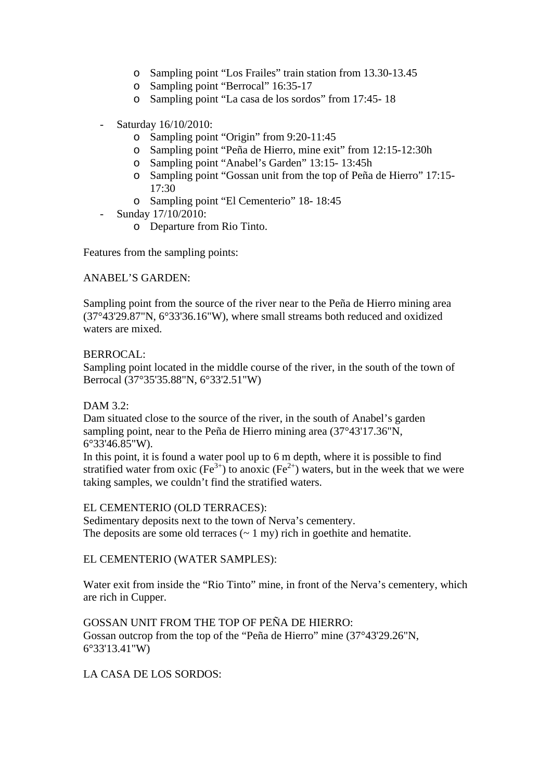- o Sampling point "Los Frailes" train station from 13.30-13.45
- o Sampling point "Berrocal" 16:35-17
- o Sampling point "La casa de los sordos" from 17:45- 18
- Saturday 16/10/2010:
	- o Sampling point "Origin" from 9:20-11:45
	- o Sampling point "Peña de Hierro, mine exit" from 12:15-12:30h
	- o Sampling point "Anabel's Garden" 13:15- 13:45h
	- o Sampling point "Gossan unit from the top of Peña de Hierro" 17:15- 17:30
	- o Sampling point "El Cementerio" 18- 18:45
- Sunday 17/10/2010:
	- o Departure from Rio Tinto.

Features from the sampling points:

## ANABEL'S GARDEN:

Sampling point from the source of the river near to the Peña de Hierro mining area (37°43'29.87"N, 6°33'36.16"W), where small streams both reduced and oxidized waters are mixed.

#### BERROCAL:

Sampling point located in the middle course of the river, in the south of the town of Berrocal (37°35'35.88"N, 6°33'2.51"W)

## DAM 3.2:

Dam situated close to the source of the river, in the south of Anabel's garden sampling point, near to the Peña de Hierro mining area (37°43'17.36"N, 6°33'46.85"W).

In this point, it is found a water pool up to 6 m depth, where it is possible to find stratified water from oxic  $(Fe^{3+})$  to anoxic  $(Fe^{2+})$  waters, but in the week that we were taking samples, we couldn't find the stratified waters.

#### EL CEMENTERIO (OLD TERRACES):

Sedimentary deposits next to the town of Nerva's cementery. The deposits are some old terraces  $(2 \text{ mV})$  rich in goethite and hematite.

#### EL CEMENTERIO (WATER SAMPLES):

Water exit from inside the "Rio Tinto" mine, in front of the Nerva's cementery, which are rich in Cupper.

GOSSAN UNIT FROM THE TOP OF PEÑA DE HIERRO: Gossan outcrop from the top of the "Peña de Hierro" mine (37°43'29.26"N, 6°33'13.41"W)

LA CASA DE LOS SORDOS: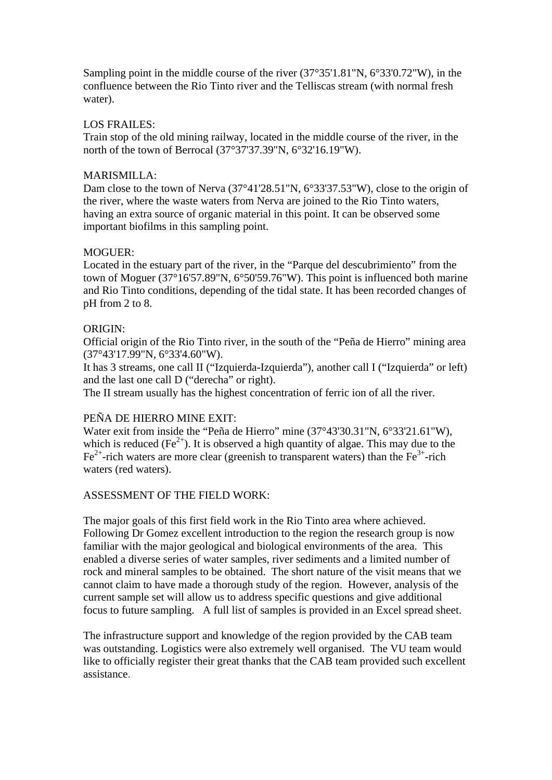Sampling point in the middle course of the river (37°35'1.81"N, 6°33'0.72"W), in the confluence between the Rio Tinto river and the Telliscas stream (with normal fresh water).

#### LOS FRAILES:

Train stop of the old mining railway, located in the middle course of the river, in the north of the town of Berrocal (37°37'37.39"N, 6°32'16.19"W).

#### MARISMILLA:

Dam close to the town of Nerva (37°41'28.51"N, 6°33'37.53"W), close to the origin of the river, where the waste waters from Nerva are joined to the Rio Tinto waters, having an extra source of organic material in this point. It can be observed some important biofilms in this sampling point.

## MOGUER:

Located in the estuary part of the river, in the "Parque del descubrimiento" from the town of Moguer (37°16'57.89"N, 6°50'59.76"W). This point is influenced both marine and Rio Tinto conditions, depending of the tidal state. It has been recorded changes of pH from 2 to 8.

# ORIGIN:

Official origin of the Rio Tinto river, in the south of the "Peña de Hierro" mining area (37°43'17.99"N, 6°33'4.60"W).

It has 3 streams, one call II ("Izquierda-Izquierda"), another call I ("Izquierda" or left) and the last one call D ("derecha" or right).

The II stream usually has the highest concentration of ferric ion of all the river.

# PEÑA DE HIERRO MINE EXIT:

Water exit from inside the "Peña de Hierro" mine (37°43'30.31"N, 6°33'21.61"W), which is reduced  $(Fe^{2+})$ . It is observed a high quantity of algae. This may due to the  $Fe<sup>2+</sup>$ -rich waters are more clear (greenish to transparent waters) than the  $Fe<sup>3+</sup>$ -rich waters (red waters).

#### ASSESSMENT OF THE FIELD WORK:

The major goals of this first field work in the Rio Tinto area where achieved. Following Dr Gomez excellent introduction to the region the research group is now familiar with the major geological and biological environments of the area. This enabled a diverse series of water samples, river sediments and a limited number of rock and mineral samples to be obtained. The short nature of the visit means that we cannot claim to have made a thorough study of the region. However, analysis of the current sample set will allow us to address specific questions and give additional focus to future sampling. A full list of samples is provided in an Excel spread sheet.

The infrastructure support and knowledge of the region provided by the CAB team was outstanding. Logistics were also extremely well organised. The VU team would like to officially register their great thanks that the CAB team provided such excellent assistance.